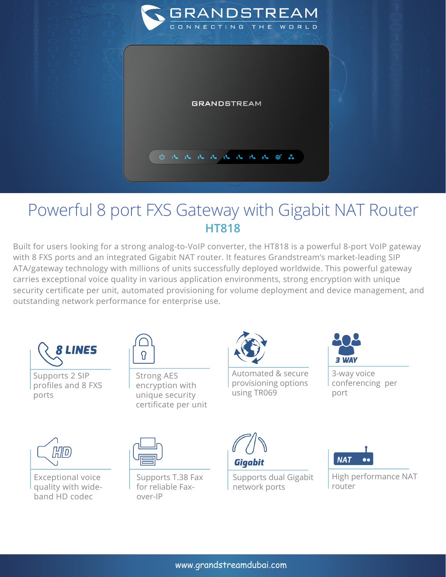

## Powerful 8 port FXS Gateway with Gigabit NAT Router **HT818**

Built for users looking for a strong analog-to-VoIP converter, the HT818 is a powerful 8-port VoIP gateway with 8 FXS ports and an integrated Gigabit NAT router. It features Grandstream's market-leading SIP ATA/gateway technology with millions of units successfully deployed worldwide. This powerful gateway carries exceptional voice quality in various application environments, strong encryption with unique security certificate per unit, automated provisioning for volume deployment and device management, and outstanding network performance for enterprise use.



Supports 2 SIP profiles and 8 FXS ports



Strong AES encryption with unique security certificate per unit



Automated & secure provisioning options using TR069



3-way voice conferencing per port



Exceptional voice quality with wideband HD codec



Supports T.38 Fax for reliable Faxover-IP



Supports dual Gigabit network ports



High performance NAT router